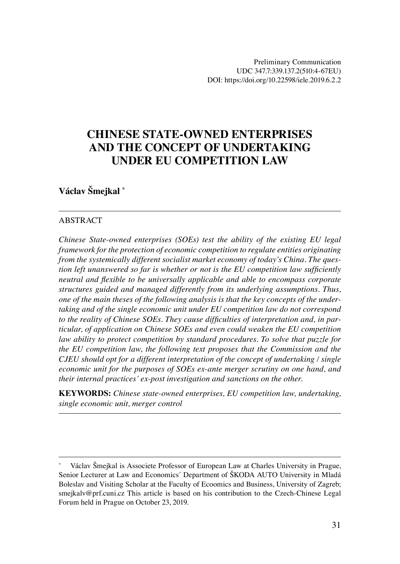# **CHINESE STATE-OWNED ENTERPRISES AND THE CONCEPT OF UNDERTAKING UNDER EU COMPETITION LAW**

### **Václav Šmejkal \***

#### ABSTRACT

*Chinese State-owned enterprises (SOEs) test the ability of the existing EU legal framework for the protection of economic competition to regulate entities originating from the systemically different socialist market economy of today's China. The question left unanswered so far is whether or not is the EU competition law sufficiently neutral and flexible to be universally applicable and able to encompass corporate structures guided and managed differently from its underlying assumptions. Thus, one of the main theses of the following analysis is that the key concepts of the undertaking and of the single economic unit under EU competition law do not correspond to the reality of Chinese SOEs. They cause difficulties of interpretation and, in particular, of application on Chinese SOEs and even could weaken the EU competition law ability to protect competition by standard procedures. To solve that puzzle for the EU competition law, the following text proposes that the Commission and the CJEU should opt for a different interpretation of the concept of undertaking / single economic unit for the purposes of SOEs ex-ante merger scrutiny on one hand, and their internal practices´ ex-post investigation and sanctions on the other.*

**KEYWORDS:** *Chinese state-owned enterprises, EU competition law, undertaking, single economic unit, merger control*

Václav Šmejkal is Associete Professor of European Law at Charles University in Prague, Senior Lecturer at Law and Economics´ Department of ŠKODA AUTO University in Mladá Boleslav and Visiting Scholar at the Faculty of Ecoomics and Business, University of Zagreb; smejkalv@prf.cuni.cz This article is based on his contribution to the Czech-Chinese Legal Forum held in Prague on October 23, 2019.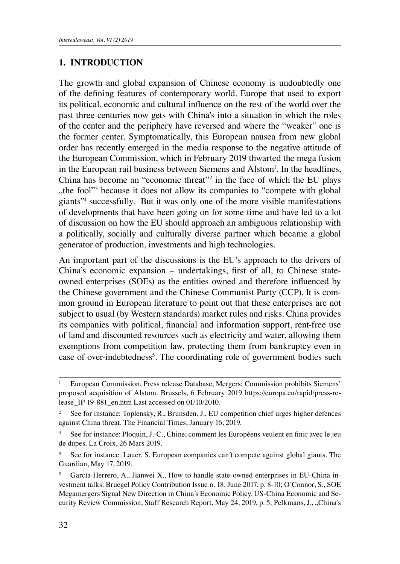### **1. INTRODUCTION**

The growth and global expansion of Chinese economy is undoubtedly one of the defining features of contemporary world. Europe that used to export its political, economic and cultural influence on the rest of the world over the past three centuries now gets with China's into a situation in which the roles of the center and the periphery have reversed and where the "weaker" one is the former center. Symptomatically, this European nausea from new global order has recently emerged in the media response to the negative attitude of the European Commission, which in February 2019 thwarted the mega fusion in the European rail business between Siemens and Alstom<sup>1</sup>. In the headlines, China has become an "economic threat"2 in the face of which the EU plays the fool<sup>"3</sup> because it does not allow its companies to "compete with global", giants"4 successfully. But it was only one of the more visible manifestations of developments that have been going on for some time and have led to a lot of discussion on how the EU should approach an ambiguous relationship with a politically, socially and culturally diverse partner which became a global generator of production, investments and high technologies.

An important part of the discussions is the EU's approach to the drivers of China's economic expansion – undertakings, first of all, to Chinese stateowned enterprises (SOEs) as the entities owned and therefore influenced by the Chinese government and the Chinese Communist Party (CCP). It is common ground in European literature to point out that these enterprises are not subject to usual (by Western standards) market rules and risks. China provides its companies with political, financial and information support, rent-free use of land and discounted resources such as electricity and water, allowing them exemptions from competition law, protecting them from bankruptcy even in case of over-indebtedness<sup>5</sup>. The coordinating role of government bodies such

<sup>1</sup> European Commission, Press release Database, Mergers: Commission prohibits Siemens' proposed acquisition of Alstom. Brussels, 6 February 2019 https://europa.eu/rapid/press-release\_IP-19-881\_en.htm Last accessed on 01/10/2010.

See for instance: Toplensky, R., Brunsden, J., EU competition chief urges higher defences against China threat. The Financial Times, January 16, 2019.

<sup>3</sup> See for instance: Ploquin, J.-C., Chine, comment les Européens veulent en finir avec le jeu de dupes. La Croix, 26 Mars 2019.

See for instance: Lauer, S. European companies can't compete against global giants. The Guardian, May 17, 2019.

<sup>5</sup> García-Herrero, A., Jianwei X., How to handle state-owned enterprises in EU-China investment talks. Bruegel Policy Contribution Issue n. 18, June 2017, p. 8-10; O´Connor, S., SOE Megamergers Signal New Direction in China´s Economic Policy. US-China Economic and Security Review Commission, Staff Research Report, May 24, 2019, p. 5; Pelkmans, J., "China's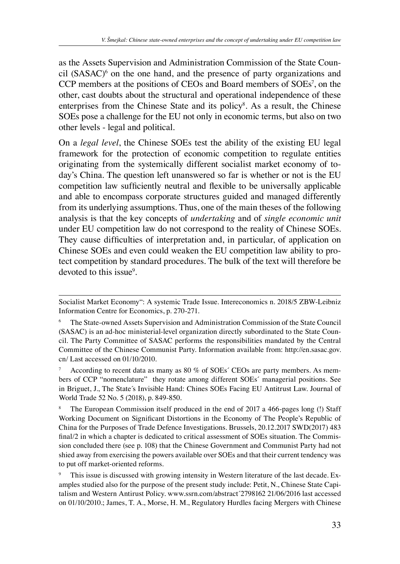as the Assets Supervision and Administration Commission of the State Coun $cil$  (SASAC) $\delta$  on the one hand, and the presence of party organizations and CCP members at the positions of CEOs and Board members of SOEs<sup>7</sup>, on the other, cast doubts about the structural and operational independence of these enterprises from the Chinese State and its policy<sup>8</sup>. As a result, the Chinese SOEs pose a challenge for the EU not only in economic terms, but also on two other levels - legal and political.

On a *legal level*, the Chinese SOEs test the ability of the existing EU legal framework for the protection of economic competition to regulate entities originating from the systemically different socialist market economy of today's China. The question left unanswered so far is whether or not is the EU competition law sufficiently neutral and flexible to be universally applicable and able to encompass corporate structures guided and managed differently from its underlying assumptions. Thus, one of the main theses of the following analysis is that the key concepts of *undertaking* and of *single economic unit* under EU competition law do not correspond to the reality of Chinese SOEs. They cause difficulties of interpretation and, in particular, of application on Chinese SOEs and even could weaken the EU competition law ability to protect competition by standard procedures. The bulk of the text will therefore be devoted to this issue<sup>9</sup>.

Socialist Market Economy": A systemic Trade Issue. Intereconomics n. 2018/5 ZBW-Leibniz Information Centre for Economics, p. 270-271.

<sup>6</sup> The State-owned Assets Supervision and Administration Commission of the State Council (SASAC) is an ad-hoc ministerial-level organization directly subordinated to the State Council. The Party Committee of SASAC performs the responsibilities mandated by the Central Committee of the Chinese Communist Party. Information available from: http://en.sasac.gov. cn/ Last accessed on 01/10/2010.

According to recent data as many as 80 % of SOEs' CEOs are party members. As members of CCP "nomenclature" they rotate among different SOEs´ managerial positions. See in Briguet, J., The State´s Invisible Hand: Chines SOEs Facing EU Antitrust Law. Journal of World Trade 52 No. 5 (2018), p. 849-850.

The European Commission itself produced in the end of 2017 a 466-pages long (!) Staff Working Document on Significant Distortions in the Economy of The People's Republic of China for the Purposes of Trade Defence Investigations*.* Brussels, 20.12.2017 SWD(2017) 483 final/2 in which a chapter is dedicated to critical assessment of SOEs situation. The Commission concluded there (see p. 108) that the Chinese Government and Communist Party had not shied away from exercising the powers available over SOEs and that their current tendency was to put off market-oriented reforms.

This issue is discussed with growing intensity in Western literature of the last decade. Examples studied also for the purpose of the present study include: Petit, N., Chinese State Capitalism and Western Antirust Policy. www.ssrn.com/abstract´2798162 21/06/2016 last accessed on 01/10/2010.; James, T. A., Morse, H. M., Regulatory Hurdles facing Mergers with Chinese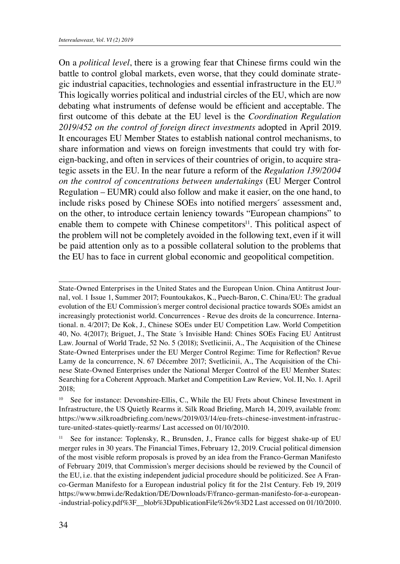On a *political level*, there is a growing fear that Chinese firms could win the battle to control global markets, even worse, that they could dominate strategic industrial capacities, technologies and essential infrastructure in the EU.10 This logically worries political and industrial circles of the EU, which are now debating what instruments of defense would be efficient and acceptable. The first outcome of this debate at the EU level is the *Coordination Regulation 2019/452 on the control of foreign direct investments* adopted in April 2019. It encourages EU Member States to establish national control mechanisms, to share information and views on foreign investments that could try with foreign-backing, and often in services of their countries of origin, to acquire strategic assets in the EU. In the near future a reform of the *Regulation 139/2004 on the control of concentrations between undertakings* (EU Merger Control Regulation – EUMR) could also follow and make it easier, on the one hand, to include risks posed by Chinese SOEs into notified mergers´ assessment and, on the other, to introduce certain leniency towards "European champions" to enable them to compete with Chinese competitors<sup>11</sup>. This political aspect of the problem will not be completely avoided in the following text, even if it will be paid attention only as to a possible collateral solution to the problems that the EU has to face in current global economic and geopolitical competition.

State-Owned Enterprises in the United States and the European Union. China Antitrust Journal, vol. 1 Issue 1, Summer 2017; Fountoukakos, K., Puech-Baron, C. China/EU: The gradual evolution of the EU Commission´s merger control decisional practice towards SOEs amidst an increasingly protectionist world. Concurrences - Revue des droits de la concurrence. International*.* n. 4/2017; De Kok, J., Chinese SOEs under EU Competition Law. World Competition 40, No. 4(2017); Briguet, J., The State ´s Invisible Hand: Chines SOEs Facing EU Antitrust Law. Journal of World Trade, 52 No. 5 (2018); Svetlicinii, A., The Acquisition of the Chinese State-Owned Enterprises under the EU Merger Control Regime: Time for Reflection? Revue Lamy de la concurrence, N. 67 Décembre 2017; Svetlicinii, A., The Acquisition of the Chinese State-Owned Enterprises under the National Merger Control of the EU Member States: Searching for a Coherent Approach. Market and Competition Law Review*,* Vol. II, No. 1. April 2018;

<sup>10</sup> See for instance: Devonshire-Ellis, C., While the EU Frets about Chinese Investment in Infrastructure, the US Quietly Rearms it. Silk Road Briefing, March 14, 2019, available from: https://www.silkroadbriefing.com/news/2019/03/14/eu-frets-chinese-investment-infrastructure-united-states-quietly-rearms/ Last accessed on 01/10/2010.

<sup>11</sup> See for instance: Toplensky, R., Brunsden, J., France calls for biggest shake-up of EU merger rules in 30 years. The Financial Times, February 12, 2019. Crucial political dimension of the most visible reform proposals is proved by an idea from the Franco-German Manifesto of February 2019, that Commission's merger decisions should be reviewed by the Council of the EU, i.e. that the existing independent judicial procedure should be politicized. See A Franco-German Manifesto for a European industrial policy fit for the 21st Century. Feb 19, 2019 https://www.bmwi.de/Redaktion/DE/Downloads/F/franco-german-manifesto-for-a-european- -industrial-policy.pdf%3F\_\_blob%3DpublicationFile%26v%3D2 Last accessed on 01/10/2010.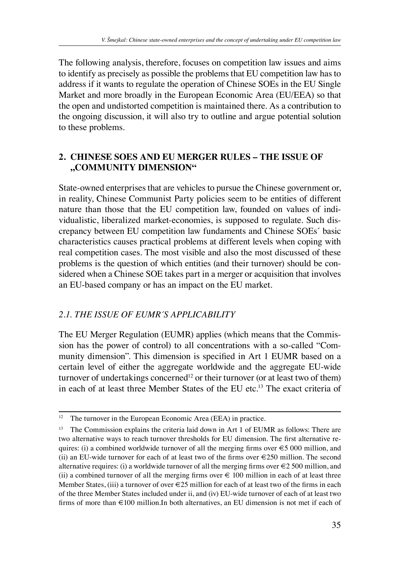The following analysis, therefore, focuses on competition law issues and aims to identify as precisely as possible the problems that EU competition law has to address if it wants to regulate the operation of Chinese SOEs in the EU Single Market and more broadly in the European Economic Area (EU/EEA) so that the open and undistorted competition is maintained there. As a contribution to the ongoing discussion, it will also try to outline and argue potential solution to these problems.

## **2. CHINESE SOES AND EU MERGER RULES – THE ISSUE OF "COMMUNITY DIMENSION"**

State-owned enterprises that are vehicles to pursue the Chinese government or, in reality, Chinese Communist Party policies seem to be entities of different nature than those that the EU competition law, founded on values of individualistic, liberalized market-economies, is supposed to regulate. Such discrepancy between EU competition law fundaments and Chinese SOEs´ basic characteristics causes practical problems at different levels when coping with real competition cases. The most visible and also the most discussed of these problems is the question of which entities (and their turnover) should be considered when a Chinese SOE takes part in a merger or acquisition that involves an EU-based company or has an impact on the EU market.

## *2.1. THE ISSUE OF EUMR´S APPLICABILITY*

The EU Merger Regulation (EUMR) applies (which means that the Commission has the power of control) to all concentrations with a so-called "Community dimension". This dimension is specified in Art 1 EUMR based on a certain level of either the aggregate worldwide and the aggregate EU-wide turnover of undertakings concerned<sup>12</sup> or their turnover (or at least two of them) in each of at least three Member States of the EU etc.13 The exact criteria of

<sup>&</sup>lt;sup>12</sup> The turnover in the European Economic Area (EEA) in practice.

<sup>&</sup>lt;sup>13</sup> The Commission explains the criteria laid down in Art 1 of EUMR as follows: There are two alternative ways to reach turnover thresholds for EU dimension. The first alternative requires: (i) a combined worldwide turnover of all the merging firms over  $\epsilon$  5 000 million, and (ii) an EU-wide turnover for each of at least two of the firms over  $\epsilon$ 250 million. The second alternative requires: (i) a worldwide turnover of all the merging firms over  $\epsilon$  2 500 million, and (ii) a combined turnover of all the merging firms over  $\epsilon$  100 million in each of at least three Member States, (iii) a turnover of over  $\epsilon$ 25 million for each of at least two of the firms in each of the three Member States included under ii, and (iv) EU-wide turnover of each of at least two firms of more than €100 million.In both alternatives, an EU dimension is not met if each of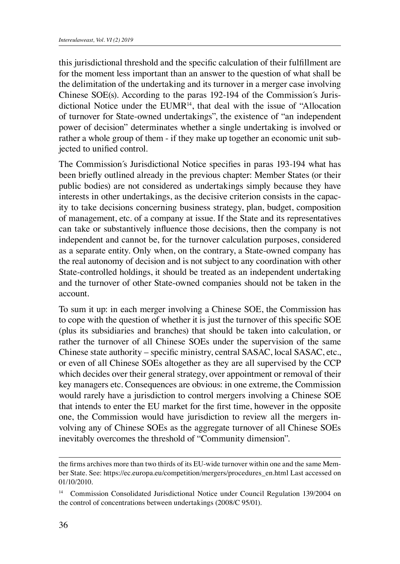this jurisdictional threshold and the specific calculation of their fulfillment are for the moment less important than an answer to the question of what shall be the delimitation of the undertaking and its turnover in a merger case involving Chinese SOE(s). According to the paras 192-194 of the Commission´s Jurisdictional Notice under the  $EUMR<sup>14</sup>$ , that deal with the issue of "Allocation" of turnover for State-owned undertakings", the existence of "an independent power of decision" determinates whether a single undertaking is involved or rather a whole group of them - if they make up together an economic unit subjected to unified control.

The Commission´s Jurisdictional Notice specifies in paras 193-194 what has been briefly outlined already in the previous chapter: Member States (or their public bodies) are not considered as undertakings simply because they have interests in other undertakings, as the decisive criterion consists in the capacity to take decisions concerning business strategy, plan, budget, composition of management, etc. of a company at issue. If the State and its representatives can take or substantively influence those decisions, then the company is not independent and cannot be, for the turnover calculation purposes, considered as a separate entity. Only when, on the contrary, a State-owned company has the real autonomy of decision and is not subject to any coordination with other State-controlled holdings, it should be treated as an independent undertaking and the turnover of other State-owned companies should not be taken in the account.

To sum it up: in each merger involving a Chinese SOE, the Commission has to cope with the question of whether it is just the turnover of this specific SOE (plus its subsidiaries and branches) that should be taken into calculation, or rather the turnover of all Chinese SOEs under the supervision of the same Chinese state authority – specific ministry, central SASAC, local SASAC, etc., or even of all Chinese SOEs altogether as they are all supervised by the CCP which decides over their general strategy, over appointment or removal of their key managers etc. Consequences are obvious: in one extreme, the Commission would rarely have a jurisdiction to control mergers involving a Chinese SOE that intends to enter the EU market for the first time, however in the opposite one, the Commission would have jurisdiction to review all the mergers involving any of Chinese SOEs as the aggregate turnover of all Chinese SOEs inevitably overcomes the threshold of "Community dimension".

the firms archives more than two thirds of its EU-wide turnover within one and the same Member State. See: https://ec.europa.eu/competition/mergers/procedures\_en.html Last accessed on 01/10/2010.

<sup>&</sup>lt;sup>14</sup> Commission Consolidated Jurisdictional Notice under Council Regulation 139/2004 on the control of concentrations between undertakings (2008/C 95/01).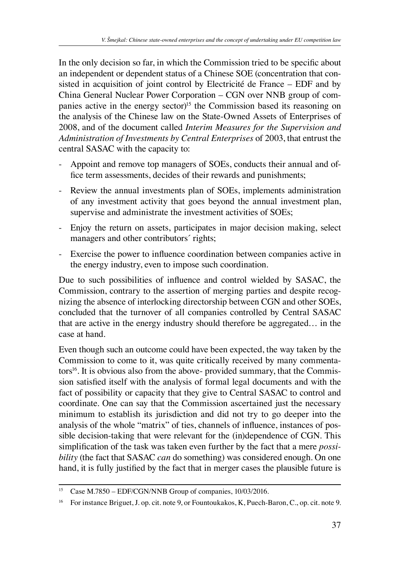In the only decision so far, in which the Commission tried to be specific about an independent or dependent status of a Chinese SOE (concentration that consisted in acquisition of joint control by Electricité de France – EDF and by China General Nuclear Power Corporation – CGN over NNB group of companies active in the energy sector)<sup>15</sup> the Commission based its reasoning on the analysis of the Chinese law on the State-Owned Assets of Enterprises of 2008, and of the document called *Interim Measures for the Supervision and Administration of Investments by Central Enterprises* of 2003, that entrust the central SASAC with the capacity to:

- Appoint and remove top managers of SOEs, conducts their annual and office term assessments, decides of their rewards and punishments;
- Review the annual investments plan of SOEs, implements administration of any investment activity that goes beyond the annual investment plan, supervise and administrate the investment activities of SOEs;
- Enjoy the return on assets, participates in major decision making, select managers and other contributors´ rights;
- Exercise the power to influence coordination between companies active in the energy industry, even to impose such coordination.

Due to such possibilities of influence and control wielded by SASAC, the Commission, contrary to the assertion of merging parties and despite recognizing the absence of interlocking directorship between CGN and other SOEs, concluded that the turnover of all companies controlled by Central SASAC that are active in the energy industry should therefore be aggregated… in the case at hand.

Even though such an outcome could have been expected, the way taken by the Commission to come to it, was quite critically received by many commentators<sup>16</sup>. It is obvious also from the above- provided summary, that the Commission satisfied itself with the analysis of formal legal documents and with the fact of possibility or capacity that they give to Central SASAC to control and coordinate. One can say that the Commission ascertained just the necessary minimum to establish its jurisdiction and did not try to go deeper into the analysis of the whole "matrix" of ties, channels of influence, instances of possible decision-taking that were relevant for the (in)dependence of CGN. This simplification of the task was taken even further by the fact that a mere *possibility* (the fact that SASAC *can* do something) was considered enough. On one hand, it is fully justified by the fact that in merger cases the plausible future is

<sup>&</sup>lt;sup>15</sup> Case M.7850 – EDF/CGN/NNB Group of companies, 10/03/2016.

<sup>&</sup>lt;sup>16</sup> For instance Briguet, J. op. cit. note 9, or Fountoukakos, K, Puech-Baron, C., op. cit. note 9.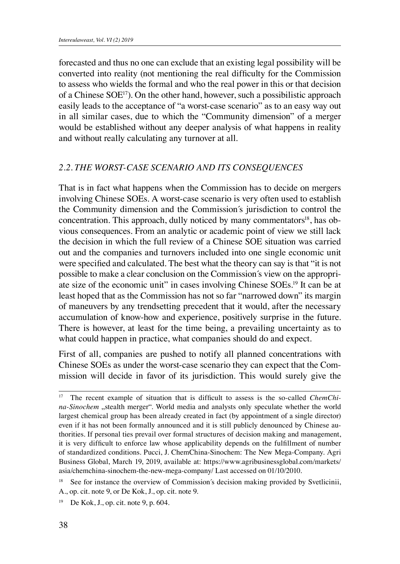forecasted and thus no one can exclude that an existing legal possibility will be converted into reality (not mentioning the real difficulty for the Commission to assess who wields the formal and who the real power in this or that decision of a Chinese  $SOE^{17}$ ). On the other hand, however, such a possibilistic approach easily leads to the acceptance of "a worst-case scenario" as to an easy way out in all similar cases, due to which the "Community dimension" of a merger would be established without any deeper analysis of what happens in reality and without really calculating any turnover at all.

#### *2.2. THE WORST-CASE SCENARIO AND ITS CONSEQUENCES*

That is in fact what happens when the Commission has to decide on mergers involving Chinese SOEs. A worst-case scenario is very often used to establish the Community dimension and the Commission´s jurisdiction to control the concentration. This approach, dully noticed by many commentators<sup>18</sup>, has obvious consequences. From an analytic or academic point of view we still lack the decision in which the full review of a Chinese SOE situation was carried out and the companies and turnovers included into one single economic unit were specified and calculated. The best what the theory can say is that "it is not possible to make a clear conclusion on the Commission´s view on the appropriate size of the economic unit" in cases involving Chinese SOEs.19 It can be at least hoped that as the Commission has not so far "narrowed down" its margin of maneuvers by any trendsetting precedent that it would, after the necessary accumulation of know-how and experience, positively surprise in the future. There is however, at least for the time being, a prevailing uncertainty as to what could happen in practice, what companies should do and expect.

First of all, companies are pushed to notify all planned concentrations with Chinese SOEs as under the worst-case scenario they can expect that the Commission will decide in favor of its jurisdiction. This would surely give the

<sup>&</sup>lt;sup>17</sup> The recent example of situation that is difficult to assess is the so-called *ChemChina-Sinochem* "stealth merger". World media and analysts only speculate whether the world largest chemical group has been already created in fact (by appointment of a single director) even if it has not been formally announced and it is still publicly denounced by Chinese authorities. If personal ties prevail over formal structures of decision making and management, it is very difficult to enforce law whose applicability depends on the fulfillment of number of standardized conditions. Pucci, J. ChemChina-Sinochem: The New Mega-Company. Agri Business Global, March 19, 2019, available at: https://www.agribusinessglobal.com/markets/ asia/chemchina-sinochem-the-new-mega-company/ Last accessed on 01/10/2010.

See for instance the overview of Commission's decision making provided by Svetlicinii, A., op. cit. note 9, or De Kok, J., op. cit. note 9.

<sup>19</sup> De Kok, J., op. cit. note 9, p. 604.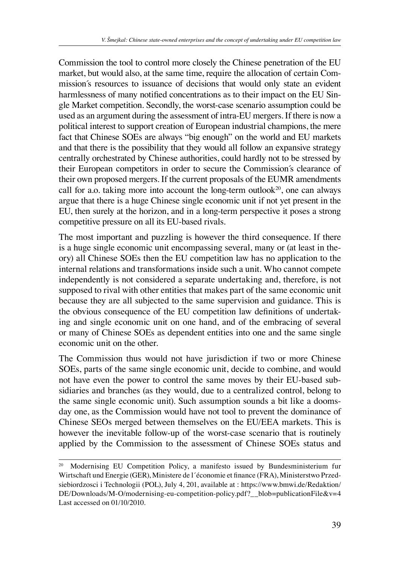Commission the tool to control more closely the Chinese penetration of the EU market, but would also, at the same time, require the allocation of certain Commission´s resources to issuance of decisions that would only state an evident harmlessness of many notified concentrations as to their impact on the EU Single Market competition. Secondly, the worst-case scenario assumption could be used as an argument during the assessment of intra-EU mergers. If there is now a political interest to support creation of European industrial champions, the mere fact that Chinese SOEs are always "big enough" on the world and EU markets and that there is the possibility that they would all follow an expansive strategy centrally orchestrated by Chinese authorities, could hardly not to be stressed by their European competitors in order to secure the Commission´s clearance of their own proposed mergers. If the current proposals of the EUMR amendments call for a.o. taking more into account the long-term outlook<sup>20</sup>, one can always argue that there is a huge Chinese single economic unit if not yet present in the EU, then surely at the horizon, and in a long-term perspective it poses a strong competitive pressure on all its EU-based rivals.

The most important and puzzling is however the third consequence. If there is a huge single economic unit encompassing several, many or (at least in theory) all Chinese SOEs then the EU competition law has no application to the internal relations and transformations inside such a unit. Who cannot compete independently is not considered a separate undertaking and, therefore, is not supposed to rival with other entities that makes part of the same economic unit because they are all subjected to the same supervision and guidance. This is the obvious consequence of the EU competition law definitions of undertaking and single economic unit on one hand, and of the embracing of several or many of Chinese SOEs as dependent entities into one and the same single economic unit on the other.

The Commission thus would not have jurisdiction if two or more Chinese SOEs, parts of the same single economic unit, decide to combine, and would not have even the power to control the same moves by their EU-based subsidiaries and branches (as they would, due to a centralized control, belong to the same single economic unit). Such assumption sounds a bit like a doomsday one, as the Commission would have not tool to prevent the dominance of Chinese SEOs merged between themselves on the EU/EEA markets. This is however the inevitable follow-up of the worst-case scenario that is routinely applied by the Commission to the assessment of Chinese SOEs status and

<sup>20</sup> Modernising EU Competition Policy, a manifesto issued by Bundesministerium fur Wirtschaft und Energie (GER), Ministere de l´économie et finance (FRA), Ministerstwo Przedsiebiordzosci i Technologii (POL), July 4, 201, available at : https://www.bmwi.de/Redaktion/ DE/Downloads/M-O/modernising-eu-competition-policy.pdf?\_\_blob=publicationFile&v=4 Last accessed on 01/10/2010.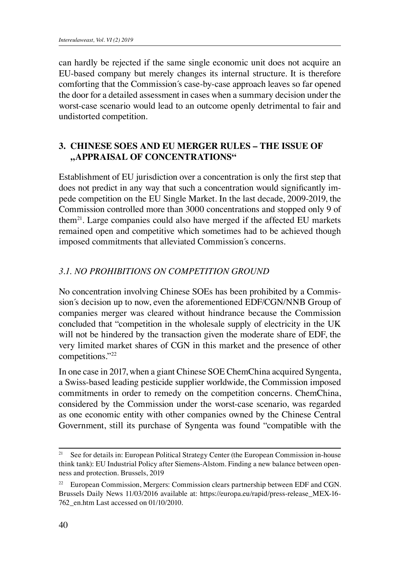can hardly be rejected if the same single economic unit does not acquire an EU-based company but merely changes its internal structure. It is therefore comforting that the Commission´s case-by-case approach leaves so far opened the door for a detailed assessment in cases when a summary decision under the worst-case scenario would lead to an outcome openly detrimental to fair and undistorted competition.

### **3. CHINESE SOES AND EU MERGER RULES – THE ISSUE OF "APPRAISAL OF CONCENTRATIONS"**

Establishment of EU jurisdiction over a concentration is only the first step that does not predict in any way that such a concentration would significantly impede competition on the EU Single Market. In the last decade, 2009-2019, the Commission controlled more than 3000 concentrations and stopped only 9 of them21. Large companies could also have merged if the affected EU markets remained open and competitive which sometimes had to be achieved though imposed commitments that alleviated Commission´s concerns.

## *3.1. NO PROHIBITIONS ON COMPETITION GROUND*

No concentration involving Chinese SOEs has been prohibited by a Commission´s decision up to now, even the aforementioned EDF/CGN/NNB Group of companies merger was cleared without hindrance because the Commission concluded that "competition in the wholesale supply of electricity in the UK will not be hindered by the transaction given the moderate share of EDF, the very limited market shares of CGN in this market and the presence of other competitions."22

In one case in 2017, when a giant Chinese SOE ChemChina acquired Syngenta, a Swiss-based leading pesticide supplier worldwide, the Commission imposed commitments in order to remedy on the competition concerns. ChemChina, considered by the Commission under the worst-case scenario, was regarded as one economic entity with other companies owned by the Chinese Central Government, still its purchase of Syngenta was found "compatible with the

<sup>&</sup>lt;sup>21</sup> See for details in: European Political Strategy Center (the European Commission in-house think tank): EU Industrial Policy after Siemens-Alstom. Finding a new balance between openness and protection. Brussels, 2019

<sup>&</sup>lt;sup>22</sup> European Commission, Mergers: Commission clears partnership between EDF and CGN. Brussels Daily News 11/03/2016 available at: https://europa.eu/rapid/press-release\_MEX-16- 762\_en.htm Last accessed on 01/10/2010.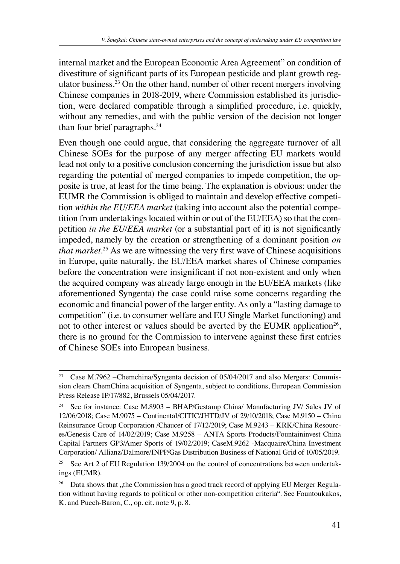internal market and the European Economic Area Agreement" on condition of divestiture of significant parts of its European pesticide and plant growth regulator business.23 On the other hand, number of other recent mergers involving Chinese companies in 2018-2019, where Commission established its jurisdiction, were declared compatible through a simplified procedure, i.e. quickly, without any remedies, and with the public version of the decision not longer than four brief paragraphs.<sup>24</sup>

Even though one could argue, that considering the aggregate turnover of all Chinese SOEs for the purpose of any merger affecting EU markets would lead not only to a positive conclusion concerning the jurisdiction issue but also regarding the potential of merged companies to impede competition, the opposite is true, at least for the time being. The explanation is obvious: under the EUMR the Commission is obliged to maintain and develop effective competition *within the EU/EEA market* (taking into account also the potential competition from undertakings located within or out of the EU/EEA) so that the competition *in the EU/EEA market* (or a substantial part of it) is not significantly impeded, namely by the creation or strengthening of a dominant position *on that market*. <sup>25</sup> As we are witnessing the very first wave of Chinese acquisitions in Europe, quite naturally, the EU/EEA market shares of Chinese companies before the concentration were insignificant if not non-existent and only when the acquired company was already large enough in the EU/EEA markets (like aforementioned Syngenta) the case could raise some concerns regarding the economic and financial power of the larger entity. As only a "lasting damage to competition" (i.e. to consumer welfare and EU Single Market functioning) and not to other interest or values should be averted by the EUMR application<sup>26</sup>, there is no ground for the Commission to intervene against these first entries of Chinese SOEs into European business.

<sup>&</sup>lt;sup>23</sup> Case M.7962 – Chemchina/Syngenta decision of 05/04/2017 and also Mergers: Commission clears ChemChina acquisition of Syngenta, subject to conditions, European Commission Press Release IP/17/882, Brussels 05/04/2017.

See for instance: Case M.8903 - BHAP/Gestamp China/ Manufacturing JV/ Sales JV of 12/06/2018; Case M.9075 – Continental/CITIC/JHTD/JV of 29/10/2018; Case M.9150 – China Reinsurance Group Corporation /Chaucer of 17/12/2019; Case M.9243 – KRK/China Resources/Genesis Care of 14/02/2019; Case M.9258 – ANTA Sports Products/Fountaininvest China Capital Partners GP3/Amer Sports of 19/02/2019; CaseM.9262 -Macquaire/China Investment Corporation/ Allianz/Dalmore/INPP/Gas Distribution Business of National Grid of 10/05/2019.

<sup>&</sup>lt;sup>25</sup> See Art 2 of EU Regulation 139/2004 on the control of concentrations between undertakings (EUMR).

<sup>&</sup>lt;sup>26</sup> Data shows that "the Commission has a good track record of applying EU Merger Regulation without having regards to political or other non-competition criteria". See Fountoukakos, K. and Puech-Baron, C., op. cit. note 9, p. 8.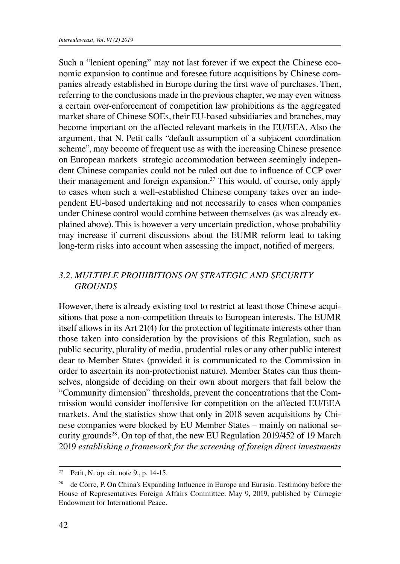Such a "lenient opening" may not last forever if we expect the Chinese economic expansion to continue and foresee future acquisitions by Chinese companies already established in Europe during the first wave of purchases. Then, referring to the conclusions made in the previous chapter, we may even witness a certain over-enforcement of competition law prohibitions as the aggregated market share of Chinese SOEs, their EU-based subsidiaries and branches, may become important on the affected relevant markets in the EU/EEA. Also the argument, that N. Petit calls "default assumption of a subjacent coordination scheme", may become of frequent use as with the increasing Chinese presence on European markets strategic accommodation between seemingly independent Chinese companies could not be ruled out due to influence of CCP over their management and foreign expansion.27 This would, of course, only apply to cases when such a well-established Chinese company takes over an independent EU-based undertaking and not necessarily to cases when companies under Chinese control would combine between themselves (as was already explained above). This is however a very uncertain prediction, whose probability may increase if current discussions about the EUMR reform lead to taking long-term risks into account when assessing the impact, notified of mergers.

### *3.2. MULTIPLE PROHIBITIONS ON STRATEGIC AND SECURITY GROUNDS*

However, there is already existing tool to restrict at least those Chinese acquisitions that pose a non-competition threats to European interests. The EUMR itself allows in its Art 21(4) for the protection of legitimate interests other than those taken into consideration by the provisions of this Regulation, such as public security, plurality of media, prudential rules or any other public interest dear to Member States (provided it is communicated to the Commission in order to ascertain its non-protectionist nature). Member States can thus themselves, alongside of deciding on their own about mergers that fall below the "Community dimension" thresholds, prevent the concentrations that the Commission would consider inoffensive for competition on the affected EU/EEA markets. And the statistics show that only in 2018 seven acquisitions by Chinese companies were blocked by EU Member States – mainly on national security grounds<sup>28</sup>. On top of that, the new EU Regulation 2019/452 of 19 March 2019 *establishing a framework for the screening of foreign direct investments* 

<sup>27</sup> Petit, N. op. cit. note 9., p. 14-15.

<sup>&</sup>lt;sup>28</sup> de Corre, P. On China's Expanding Influence in Europe and Eurasia. Testimony before the House of Representatives Foreign Affairs Committee. May 9, 2019, published by Carnegie Endowment for International Peace.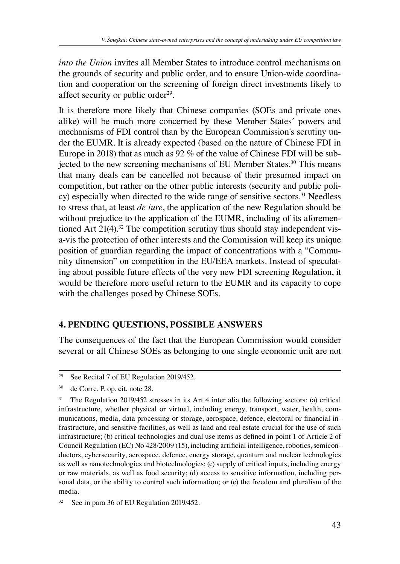*into the Union* invites all Member States to introduce control mechanisms on the grounds of security and public order, and to ensure Union-wide coordination and cooperation on the screening of foreign direct investments likely to affect security or public order $29$ .

It is therefore more likely that Chinese companies (SOEs and private ones alike) will be much more concerned by these Member States´ powers and mechanisms of FDI control than by the European Commission´s scrutiny under the EUMR. It is already expected (based on the nature of Chinese FDI in Europe in 2018) that as much as 92 % of the value of Chinese FDI will be subjected to the new screening mechanisms of EU Member States.30 This means that many deals can be cancelled not because of their presumed impact on competition, but rather on the other public interests (security and public policy) especially when directed to the wide range of sensitive sectors.<sup>31</sup> Needless to stress that, at least *de iure*, the application of the new Regulation should be without prejudice to the application of the EUMR, including of its aforementioned Art  $21(4)$ .<sup>32</sup> The competition scrutiny thus should stay independent visa-vis the protection of other interests and the Commission will keep its unique position of guardian regarding the impact of concentrations with a "Community dimension" on competition in the EU/EEA markets. Instead of speculating about possible future effects of the very new FDI screening Regulation, it would be therefore more useful return to the EUMR and its capacity to cope with the challenges posed by Chinese SOEs.

#### **4. PENDING QUESTIONS, POSSIBLE ANSWERS**

The consequences of the fact that the European Commission would consider several or all Chinese SOEs as belonging to one single economic unit are not

<sup>&</sup>lt;sup>29</sup> See Recital 7 of EU Regulation 2019/452.

<sup>30</sup> de Corre. P. op. cit. note 28.

<sup>&</sup>lt;sup>31</sup> The Regulation 2019/452 stresses in its Art 4 inter alia the following sectors: (a) critical infrastructure, whether physical or virtual, including energy, transport, water, health, communications, media, data processing or storage, aerospace, defence, electoral or financial infrastructure, and sensitive facilities, as well as land and real estate crucial for the use of such infrastructure; (b) critical technologies and dual use items as defined in point 1 of Article 2 of Council Regulation (EC) No 428/2009 (15), including artificial intelligence, robotics, semiconductors, cybersecurity, aerospace, defence, energy storage, quantum and nuclear technologies as well as nanotechnologies and biotechnologies; (c) supply of critical inputs, including energy or raw materials, as well as food security; (d) access to sensitive information, including personal data, or the ability to control such information; or (e) the freedom and pluralism of the media.

<sup>&</sup>lt;sup>32</sup> See in para 36 of EU Regulation 2019/452.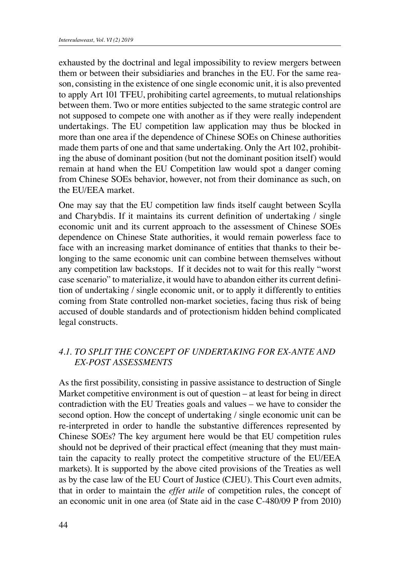exhausted by the doctrinal and legal impossibility to review mergers between them or between their subsidiaries and branches in the EU. For the same reason, consisting in the existence of one single economic unit, it is also prevented to apply Art 101 TFEU, prohibiting cartel agreements, to mutual relationships between them. Two or more entities subjected to the same strategic control are not supposed to compete one with another as if they were really independent undertakings. The EU competition law application may thus be blocked in more than one area if the dependence of Chinese SOEs on Chinese authorities made them parts of one and that same undertaking. Only the Art 102, prohibiting the abuse of dominant position (but not the dominant position itself) would remain at hand when the EU Competition law would spot a danger coming from Chinese SOEs behavior, however, not from their dominance as such, on the EU/EEA market.

One may say that the EU competition law finds itself caught between Scylla and Charybdis. If it maintains its current definition of undertaking / single economic unit and its current approach to the assessment of Chinese SOEs dependence on Chinese State authorities, it would remain powerless face to face with an increasing market dominance of entities that thanks to their belonging to the same economic unit can combine between themselves without any competition law backstops. If it decides not to wait for this really "worst case scenario" to materialize, it would have to abandon either its current definition of undertaking / single economic unit, or to apply it differently to entities coming from State controlled non-market societies, facing thus risk of being accused of double standards and of protectionism hidden behind complicated legal constructs.

#### *4.1. TO SPLIT THE CONCEPT OF UNDERTAKING FOR EX-ANTE AND EX-POST ASSESSMENTS*

As the first possibility, consisting in passive assistance to destruction of Single Market competitive environment is out of question – at least for being in direct contradiction with the EU Treaties goals and values – we have to consider the second option. How the concept of undertaking / single economic unit can be re-interpreted in order to handle the substantive differences represented by Chinese SOEs? The key argument here would be that EU competition rules should not be deprived of their practical effect (meaning that they must maintain the capacity to really protect the competitive structure of the EU/EEA markets). It is supported by the above cited provisions of the Treaties as well as by the case law of the EU Court of Justice (CJEU). This Court even admits, that in order to maintain the *effet utile* of competition rules, the concept of an economic unit in one area (of State aid in the case C-480/09 P from 2010)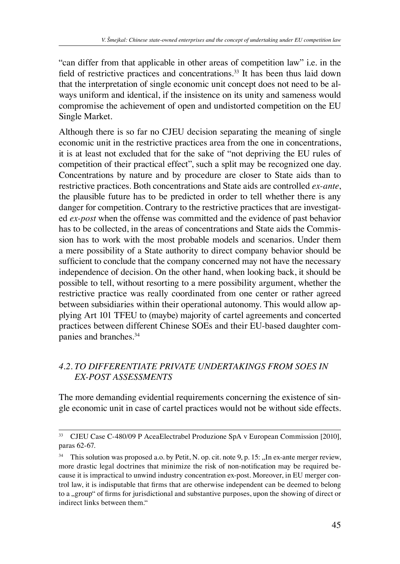"can differ from that applicable in other areas of competition law" i.e. in the field of restrictive practices and concentrations.<sup>33</sup> It has been thus laid down that the interpretation of single economic unit concept does not need to be always uniform and identical, if the insistence on its unity and sameness would compromise the achievement of open and undistorted competition on the EU Single Market.

Although there is so far no CJEU decision separating the meaning of single economic unit in the restrictive practices area from the one in concentrations, it is at least not excluded that for the sake of "not depriving the EU rules of competition of their practical effect", such a split may be recognized one day. Concentrations by nature and by procedure are closer to State aids than to restrictive practices. Both concentrations and State aids are controlled *ex-ante*, the plausible future has to be predicted in order to tell whether there is any danger for competition. Contrary to the restrictive practices that are investigated *ex-post* when the offense was committed and the evidence of past behavior has to be collected, in the areas of concentrations and State aids the Commission has to work with the most probable models and scenarios. Under them a mere possibility of a State authority to direct company behavior should be sufficient to conclude that the company concerned may not have the necessary independence of decision. On the other hand, when looking back, it should be possible to tell, without resorting to a mere possibility argument, whether the restrictive practice was really coordinated from one center or rather agreed between subsidiaries within their operational autonomy. This would allow applying Art 101 TFEU to (maybe) majority of cartel agreements and concerted practices between different Chinese SOEs and their EU-based daughter companies and branches.34

## *4.2. TO DIFFERENTIATE PRIVATE UNDERTAKINGS FROM SOES IN EX-POST ASSESSMENTS*

The more demanding evidential requirements concerning the existence of single economic unit in case of cartel practices would not be without side effects.

<sup>33</sup> CJEU Case C-480/09 P AceaElectrabel Produzione SpA v European Commission [2010], paras 62-67.

<sup>&</sup>lt;sup>34</sup> This solution was proposed a.o. by Petit, N. op. cit. note 9, p. 15: "In ex-ante merger review, more drastic legal doctrines that minimize the risk of non-notification may be required because it is impractical to unwind industry concentration ex-post. Moreover, in EU merger control law, it is indisputable that firms that are otherwise independent can be deemed to belong to a "group" of firms for jurisdictional and substantive purposes, upon the showing of direct or indirect links between them."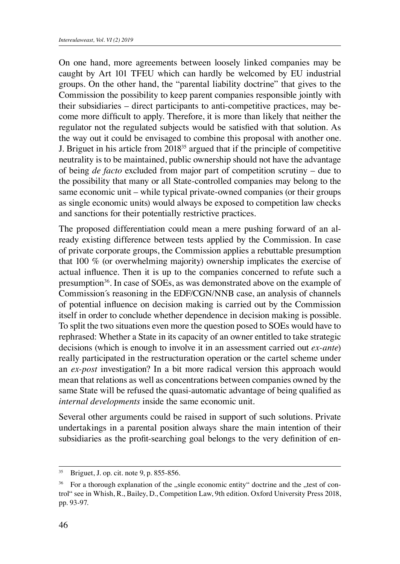On one hand, more agreements between loosely linked companies may be caught by Art 101 TFEU which can hardly be welcomed by EU industrial groups. On the other hand, the "parental liability doctrine" that gives to the Commission the possibility to keep parent companies responsible jointly with their subsidiaries – direct participants to anti-competitive practices, may become more difficult to apply. Therefore, it is more than likely that neither the regulator not the regulated subjects would be satisfied with that solution. As the way out it could be envisaged to combine this proposal with another one. J. Briguet in his article from 201835 argued that if the principle of competitive neutrality is to be maintained, public ownership should not have the advantage of being *de facto* excluded from major part of competition scrutiny – due to the possibility that many or all State-controlled companies may belong to the same economic unit – while typical private-owned companies (or their groups as single economic units) would always be exposed to competition law checks and sanctions for their potentially restrictive practices.

The proposed differentiation could mean a mere pushing forward of an already existing difference between tests applied by the Commission. In case of private corporate groups, the Commission applies a rebuttable presumption that 100 % (or overwhelming majority) ownership implicates the exercise of actual influence. Then it is up to the companies concerned to refute such a presumption<sup>36</sup>. In case of SOEs, as was demonstrated above on the example of Commission´s reasoning in the EDF/CGN/NNB case, an analysis of channels of potential influence on decision making is carried out by the Commission itself in order to conclude whether dependence in decision making is possible. To split the two situations even more the question posed to SOEs would have to rephrased: Whether a State in its capacity of an owner entitled to take strategic decisions (which is enough to involve it in an assessment carried out *ex-ante*) really participated in the restructuration operation or the cartel scheme under an *ex-post* investigation? In a bit more radical version this approach would mean that relations as well as concentrations between companies owned by the same State will be refused the quasi-automatic advantage of being qualified as *internal developments* inside the same economic unit.

Several other arguments could be raised in support of such solutions. Private undertakings in a parental position always share the main intention of their subsidiaries as the profit-searching goal belongs to the very definition of en-

<sup>35</sup> Briguet, J. op. cit. note 9, p. 855-856.

<sup>&</sup>lt;sup>36</sup> For a thorough explanation of the "single economic entity" doctrine and the "test of control" see in Whish, R., Bailey, D., Competition Law, 9th edition. Oxford University Press 2018, pp. 93-97.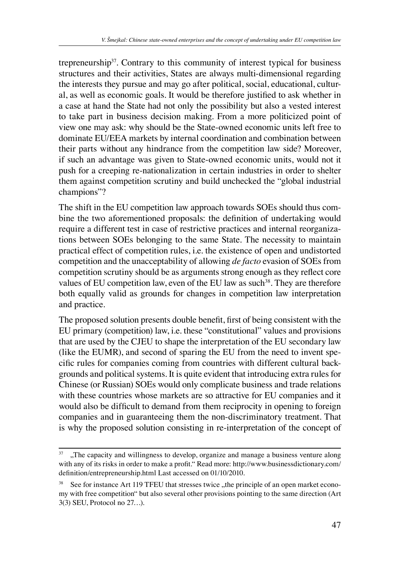trepreneurship37. Contrary to this community of interest typical for business structures and their activities, States are always multi-dimensional regarding the interests they pursue and may go after political, social, educational, cultural, as well as economic goals. It would be therefore justified to ask whether in a case at hand the State had not only the possibility but also a vested interest to take part in business decision making. From a more politicized point of view one may ask: why should be the State-owned economic units left free to dominate EU/EEA markets by internal coordination and combination between their parts without any hindrance from the competition law side? Moreover, if such an advantage was given to State-owned economic units, would not it push for a creeping re-nationalization in certain industries in order to shelter them against competition scrutiny and build unchecked the "global industrial champions"?

The shift in the EU competition law approach towards SOEs should thus combine the two aforementioned proposals: the definition of undertaking would require a different test in case of restrictive practices and internal reorganizations between SOEs belonging to the same State. The necessity to maintain practical effect of competition rules, i.e. the existence of open and undistorted competition and the unacceptability of allowing *de facto* evasion of SOEs from competition scrutiny should be as arguments strong enough as they reflect core values of EU competition law, even of the EU law as such<sup>38</sup>. They are therefore both equally valid as grounds for changes in competition law interpretation and practice.

The proposed solution presents double benefit, first of being consistent with the EU primary (competition) law, i.e. these "constitutional" values and provisions that are used by the CJEU to shape the interpretation of the EU secondary law (like the EUMR), and second of sparing the EU from the need to invent specific rules for companies coming from countries with different cultural backgrounds and political systems. It is quite evident that introducing extra rules for Chinese (or Russian) SOEs would only complicate business and trade relations with these countries whose markets are so attractive for EU companies and it would also be difficult to demand from them reciprocity in opening to foreign companies and in guaranteeing them the non-discriminatory treatment. That is why the proposed solution consisting in re-interpretation of the concept of

 $37$  . The capacity and willingness to develop, organize and manage a business venture along with any of its risks in order to make a profit." Read more: http://www.businessdictionary.com/ definition/entrepreneurship.html Last accessed on 01/10/2010.

<sup>&</sup>lt;sup>38</sup> See for instance Art 119 TFEU that stresses twice "the principle of an open market economy with free competition" but also several other provisions pointing to the same direction (Art 3(3) SEU, Protocol no 27…).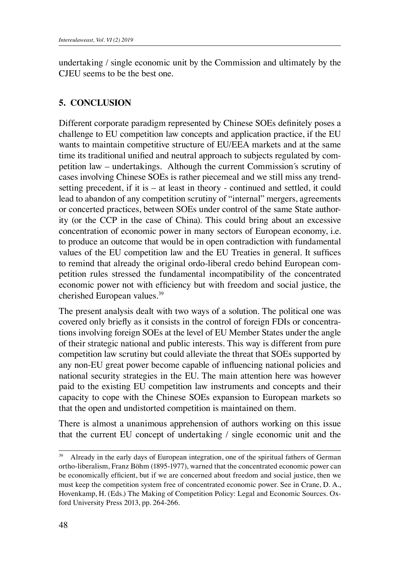undertaking / single economic unit by the Commission and ultimately by the CJEU seems to be the best one.

### **5. CONCLUSION**

Different corporate paradigm represented by Chinese SOEs definitely poses a challenge to EU competition law concepts and application practice, if the EU wants to maintain competitive structure of EU/EEA markets and at the same time its traditional unified and neutral approach to subjects regulated by competition law – undertakings. Although the current Commission´s scrutiny of cases involving Chinese SOEs is rather piecemeal and we still miss any trendsetting precedent, if it is – at least in theory - continued and settled, it could lead to abandon of any competition scrutiny of "internal" mergers, agreements or concerted practices, between SOEs under control of the same State authority (or the CCP in the case of China). This could bring about an excessive concentration of economic power in many sectors of European economy, i.e. to produce an outcome that would be in open contradiction with fundamental values of the EU competition law and the EU Treaties in general. It suffices to remind that already the original ordo-liberal credo behind European competition rules stressed the fundamental incompatibility of the concentrated economic power not with efficiency but with freedom and social justice, the cherished European values.39

The present analysis dealt with two ways of a solution. The political one was covered only briefly as it consists in the control of foreign FDIs or concentrations involving foreign SOEs at the level of EU Member States under the angle of their strategic national and public interests. This way is different from pure competition law scrutiny but could alleviate the threat that SOEs supported by any non-EU great power become capable of influencing national policies and national security strategies in the EU. The main attention here was however paid to the existing EU competition law instruments and concepts and their capacity to cope with the Chinese SOEs expansion to European markets so that the open and undistorted competition is maintained on them.

There is almost a unanimous apprehension of authors working on this issue that the current EU concept of undertaking / single economic unit and the

<sup>&</sup>lt;sup>39</sup> Already in the early days of European integration, one of the spiritual fathers of German ortho-liberalism, Franz Böhm (1895-1977), warned that the concentrated economic power can be economically efficient, but if we are concerned about freedom and social justice, then we must keep the competition system free of concentrated economic power. See in Crane, D. A., Hovenkamp, H. (Eds.) The Making of Competition Policy: Legal and Economic Sources. Oxford University Press 2013, pp. 264-266.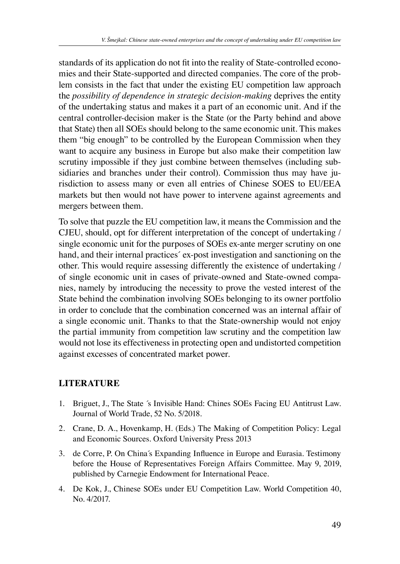standards of its application do not fit into the reality of State-controlled economies and their State-supported and directed companies. The core of the problem consists in the fact that under the existing EU competition law approach the *possibility of dependence in strategic decision-making* deprives the entity of the undertaking status and makes it a part of an economic unit. And if the central controller-decision maker is the State (or the Party behind and above that State) then all SOEs should belong to the same economic unit. This makes them "big enough" to be controlled by the European Commission when they want to acquire any business in Europe but also make their competition law scrutiny impossible if they just combine between themselves (including subsidiaries and branches under their control). Commission thus may have jurisdiction to assess many or even all entries of Chinese SOES to EU/EEA markets but then would not have power to intervene against agreements and mergers between them.

To solve that puzzle the EU competition law, it means the Commission and the CJEU, should, opt for different interpretation of the concept of undertaking / single economic unit for the purposes of SOEs ex-ante merger scrutiny on one hand, and their internal practices<sup>'</sup> ex-post investigation and sanctioning on the other. This would require assessing differently the existence of undertaking / of single economic unit in cases of private-owned and State-owned companies, namely by introducing the necessity to prove the vested interest of the State behind the combination involving SOEs belonging to its owner portfolio in order to conclude that the combination concerned was an internal affair of a single economic unit. Thanks to that the State-ownership would not enjoy the partial immunity from competition law scrutiny and the competition law would not lose its effectiveness in protecting open and undistorted competition against excesses of concentrated market power.

#### **LITERATURE**

- 1. Briguet, J., The State ´s Invisible Hand: Chines SOEs Facing EU Antitrust Law. Journal of World Trade, 52 No. 5/2018.
- 2. Crane, D. A., Hovenkamp, H. (Eds.) The Making of Competition Policy: Legal and Economic Sources. Oxford University Press 2013
- 3. de Corre, P. On China´s Expanding Influence in Europe and Eurasia. Testimony before the House of Representatives Foreign Affairs Committee. May 9, 2019, published by Carnegie Endowment for International Peace.
- 4. De Kok, J., Chinese SOEs under EU Competition Law. World Competition 40, No. 4/2017.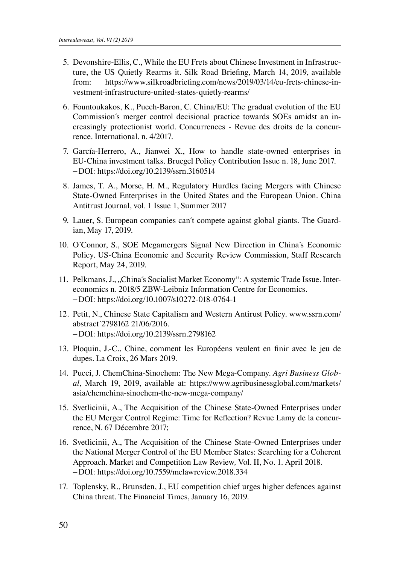- 5. Devonshire-Ellis, C., While the EU Frets about Chinese Investment in Infrastructure, the US Quietly Rearms it. Silk Road Briefing, March 14, 2019, available from: https://www.silkroadbriefing.com/news/2019/03/14/eu-frets-chinese-investment-infrastructure-united-states-quietly-rearms/
- 6. Fountoukakos, K., Puech-Baron, C. China/EU: The gradual evolution of the EU Commission´s merger control decisional practice towards SOEs amidst an increasingly protectionist world. Concurrences - Revue des droits de la concurrence. International*.* n. 4/2017.
- 7. García-Herrero, A., Jianwei X., How to handle state-owned enterprises in EU-China investment talks. Bruegel Policy Contribution Issue n. 18, June 2017. −DOI: https://doi.org/10.2139/ssrn.3160514
- 8. James, T. A., Morse, H. M., Regulatory Hurdles facing Mergers with Chinese State-Owned Enterprises in the United States and the European Union. China Antitrust Journal, vol. 1 Issue 1, Summer 2017
- 9. Lauer, S. European companies can´t compete against global giants. The Guardian, May 17, 2019.
- 10. O´Connor, S., SOE Megamergers Signal New Direction in China´s Economic Policy. US-China Economic and Security Review Commission, Staff Research Report, May 24, 2019.
- 11. Pelkmans, J., "China´s Socialist Market Economy": A systemic Trade Issue. Intereconomics n. 2018/5 ZBW-Leibniz Information Centre for Economics. −DOI: https://doi.org/10.1007/s10272-018-0764-1
- 12. Petit, N., Chinese State Capitalism and Western Antirust Policy. www.ssrn.com/ abstract´2798162 21/06/2016. −DOI: https://doi.org/10.2139/ssrn.2798162
- 13. Ploquin, J.-C., Chine, comment les Européens veulent en finir avec le jeu de dupes. La Croix, 26 Mars 2019.
- 14. Pucci, J. ChemChina-Sinochem: The New Mega-Company. *Agri Business Global*, March 19, 2019, available at: https://www.agribusinessglobal.com/markets/ asia/chemchina-sinochem-the-new-mega-company/
- 15. Svetlicinii, A., The Acquisition of the Chinese State-Owned Enterprises under the EU Merger Control Regime: Time for Reflection? Revue Lamy de la concurrence, N. 67 Décembre 2017;
- 16. Svetlicinii, A., The Acquisition of the Chinese State-Owned Enterprises under the National Merger Control of the EU Member States: Searching for a Coherent Approach. Market and Competition Law Review*,* Vol. II, No. 1. April 2018. −DOI: https://doi.org/10.7559/mclawreview.2018.334
- 17. Toplensky, R., Brunsden, J., EU competition chief urges higher defences against China threat. The Financial Times, January 16, 2019.